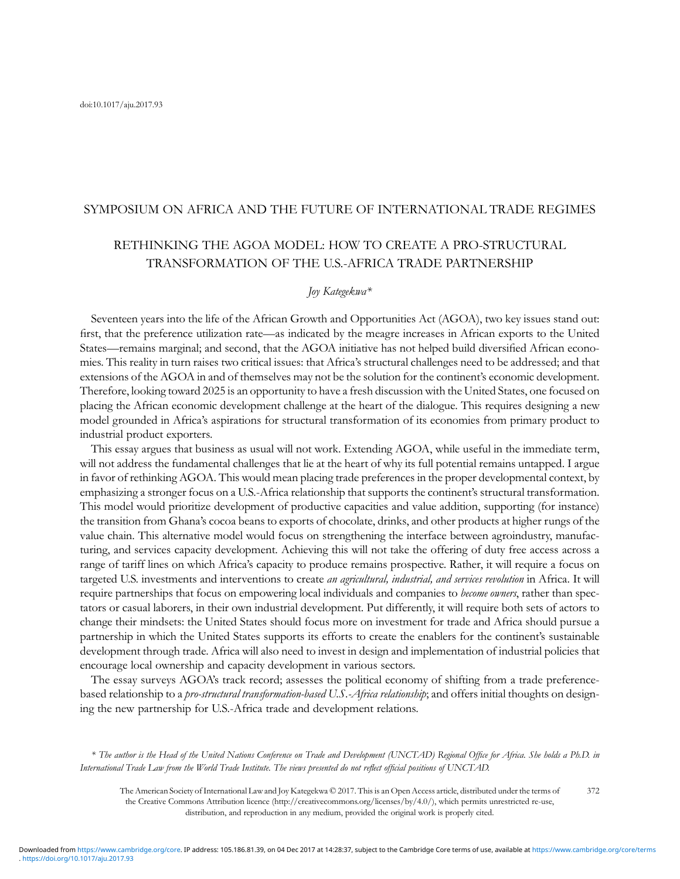# SYMPOSIUM ON AFRICA AND THE FUTURE OF INTERNATIONAL TRADE REGIMES

# RETHINKING THE AGOA MODEL: HOW TO CREATE A PRO-STRUCTURAL TRANSFORMATION OF THE U.S.-AFRICA TRADE PARTNERSHIP

# Joy Kategekwa\*

Seventeen years into the life of the African Growth and Opportunities Act (AGOA), two key issues stand out: first, that the preference utilization rate—as indicated by the meagre increases in African exports to the United States—remains marginal; and second, that the AGOA initiative has not helped build diversified African economies. This reality in turn raises two critical issues: that Africa's structural challenges need to be addressed; and that extensions of the AGOA in and of themselves may not be the solution for the continent's economic development. Therefore, looking toward 2025 is an opportunity to have a fresh discussion with the United States, one focused on placing the African economic development challenge at the heart of the dialogue. This requires designing a new model grounded in Africa's aspirations for structural transformation of its economies from primary product to industrial product exporters.

This essay argues that business as usual will not work. Extending AGOA, while useful in the immediate term, will not address the fundamental challenges that lie at the heart of why its full potential remains untapped. I argue in favor of rethinking AGOA. This would mean placing trade preferences in the proper developmental context, by emphasizing a stronger focus on a U.S.-Africa relationship that supports the continent's structural transformation. This model would prioritize development of productive capacities and value addition, supporting (for instance) the transition from Ghana's cocoa beans to exports of chocolate, drinks, and other products at higher rungs of the value chain. This alternative model would focus on strengthening the interface between agroindustry, manufacturing, and services capacity development. Achieving this will not take the offering of duty free access across a range of tariff lines on which Africa's capacity to produce remains prospective. Rather, it will require a focus on targeted U.S. investments and interventions to create an agricultural, industrial, and services revolution in Africa. It will require partnerships that focus on empowering local individuals and companies to *become owners*, rather than spectators or casual laborers, in their own industrial development. Put differently, it will require both sets of actors to change their mindsets: the United States should focus more on investment for trade and Africa should pursue a partnership in which the United States supports its efforts to create the enablers for the continent's sustainable development through trade. Africa will also need to invest in design and implementation of industrial policies that encourage local ownership and capacity development in various sectors.

The essay surveys AGOA's track record; assesses the political economy of shifting from a trade preferencebased relationship to a *pro-structural transformation-based U.S.-Africa relationship*; and offers initial thoughts on designing the new partnership for U.S.-Africa trade and development relations.

\* The author is the Head of the United Nations Conference on Trade and Development (UNCTAD) Regional Office for Africa. She holds a Ph.D. in International Trade Law from the World Trade Institute. The views presented do not reflect official positions of UNCTAD.

The American Society of International Law and Joy Kategekwa © 2017. This is an Open Access article, distributed under the terms of the Creative Commons Attribution licence (http://creativecommons.org/licenses/by/4.0/), which permits unrestricted re-use, distribution, and reproduction in any medium, provided the original work is properly cited. 372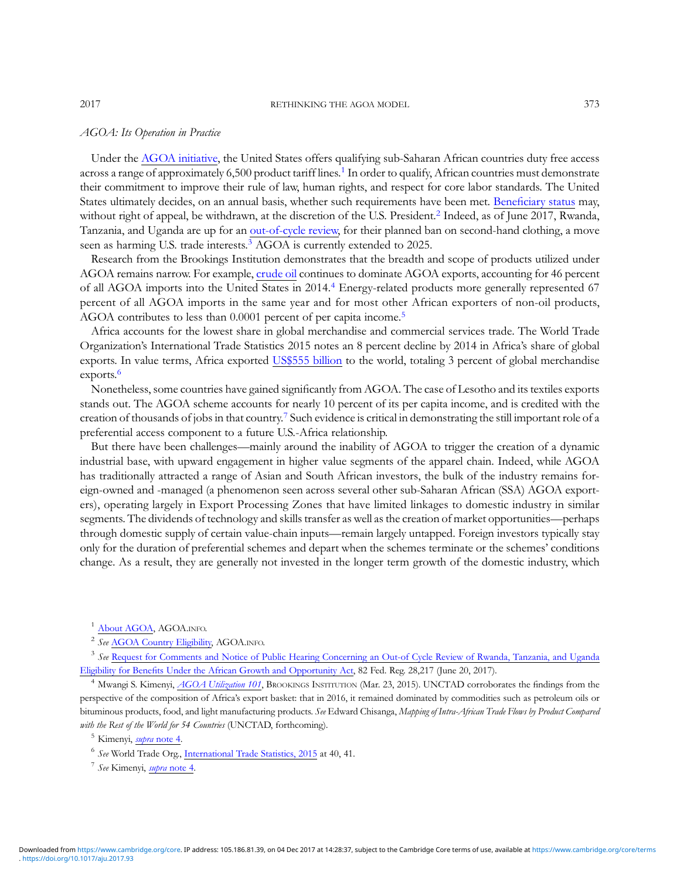### AGOA: Its Operation in Practice

Under the [AGOA initiative,](https://agoa.info/about-agoa.html) the United States offers qualifying sub-Saharan African countries duty free access across a range of approximately 6,500 product tariff lines.<sup>1</sup> In order to qualify, African countries must demonstrate their commitment to improve their rule of law, human rights, and respect for core labor standards. The United States ultimately decides, on an annual basis, whether such requirements have been met. Benefi[ciary status](https://agoa.info/about-agoa/country-eligibility.html) may, without right of appeal, be withdrawn, at the discretion of the U.S. President.<sup>2</sup> Indeed, as of June 2017, Rwanda, Tanzania, and Uganda are up for an [out-of-cycle review,](https://www.gpo.gov/fdsys/pkg/FR-2017-06-20/pdf/2017-12784.pdf) for their planned ban on second-hand clothing, a move seen as harming U.S. trade interests.<sup>3</sup> AGOA is currently extended to 2025.

Research from the Brookings Institution demonstrates that the breadth and scope of products utilized under AGOA remains narrow. For example, [crude oil](https://www.brookings.edu/blog/africa-in-focus/2015/03/23/agoa-utilization-101/) continues to dominate AGOA exports, accounting for 46 percent of all AGOA imports into the United States in 2014.<sup>4</sup> Energy-related products more generally represented 67 percent of all AGOA imports in the same year and for most other African exporters of non-oil products, AGOA contributes to less than 0.0001 percent of per capita income.<sup>5</sup>

Africa accounts for the lowest share in global merchandise and commercial services trade. The World Trade Organization's International Trade Statistics 2015 notes an 8 percent decline by 2014 in Africa's share of global exports. In value terms, Africa exported [US\\$555 billion](https://www.wto.org/english/res_e/statis_e/its2015_e/its2015_e.pdf) to the world, totaling 3 percent of global merchandise exports.<sup>6</sup>

Nonetheless, some countries have gained significantly from AGOA. The case of Lesotho and its textiles exports stands out. The AGOA scheme accounts for nearly 10 percent of its per capita income, and is credited with the creation of thousands of jobs in that country.7 Such evidence is critical in demonstrating the still important role of a preferential access component to a future U.S.-Africa relationship.

But there have been challenges—mainly around the inability of AGOA to trigger the creation of a dynamic industrial base, with upward engagement in higher value segments of the apparel chain. Indeed, while AGOA has traditionally attracted a range of Asian and South African investors, the bulk of the industry remains foreign-owned and -managed (a phenomenon seen across several other sub-Saharan African (SSA) AGOA exporters), operating largely in Export Processing Zones that have limited linkages to domestic industry in similar segments. The dividends of technology and skills transfer as well as the creation of market opportunities—perhaps through domestic supply of certain value-chain inputs—remain largely untapped. Foreign investors typically stay only for the duration of preferential schemes and depart when the schemes terminate or the schemes' conditions change. As a result, they are generally not invested in the longer term growth of the domestic industry, which

<sup>&</sup>lt;sup>1</sup> [About AGOA,](https://agoa.info/about-agoa.html) AGOA.INFO.

<sup>&</sup>lt;sup>2</sup> See [AGOA Country Eligibility,](https://agoa.info/about-agoa/country-eligibility.html) AGOA.INFO.

<sup>&</sup>lt;sup>3</sup> See [Request for Comments and Notice of Public Hearing Concerning an Out-of Cycle Review of Rwanda, Tanzania, and Uganda](https://www.gpo.gov/fdsys/pkg/FR-2017-06-20/pdf/2017-12784.pdf) Eligibility for Benefi[ts Under the African Growth and Opportunity Act](https://www.gpo.gov/fdsys/pkg/FR-2017-06-20/pdf/2017-12784.pdf), 82 Fed. Reg. 28,217 (June 20, 2017).

<sup>&</sup>lt;sup>4</sup> Mwangi S. Kimenyi, *[AGOA Utilization 101](https://www.brookings.edu/blog/africa-in-focus/2015/03/23/agoa-utilization-101/)*, BROOKINGS INSTITUTION (Mar. 23, 2015). UNCTAD corroborates the findings from the perspective of the composition of Africa's export basket: that in 2016, it remained dominated by commodities such as petroleum oils or bituminous products, food, and light manufacturing products. See Edward Chisanga, Mapping of Intra-African Trade Flows by Product Compared with the Rest of the World for 54 Countries (UNCTAD, forthcoming).

<sup>&</sup>lt;sup>5</sup> Kimenyi, *[supra](https://www.brookings.edu/blog/africa-in-focus/2015/03/23/agoa-utilization-101/)* [note 4.](https://www.brookings.edu/blog/africa-in-focus/2015/03/23/agoa-utilization-101/)

<sup>6</sup> See World Trade Org., [International Trade Statistics, 2015](https://www.wto.org/english/res_e/statis_e/its2015_e/its2015_e.pdf) at 40, 41.

 $7$  See Kimenyi, [supra](https://www.brookings.edu/blog/africa-in-focus/2015/03/23/agoa-utilization-101/) [note 4.](https://www.brookings.edu/blog/africa-in-focus/2015/03/23/agoa-utilization-101/)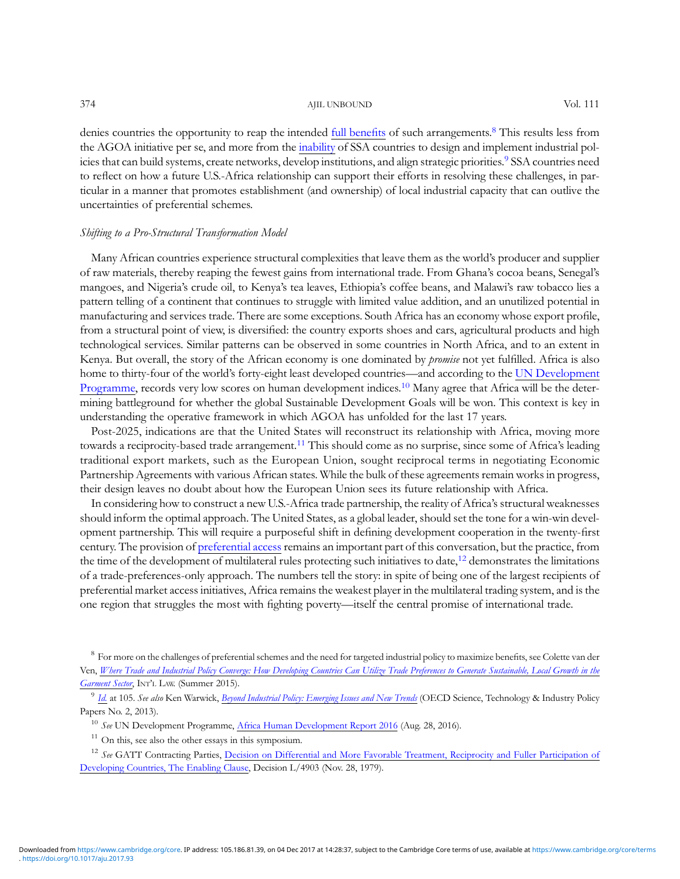374 AJIL UNBOUND Vol. 111

denies countries the opportunity to reap the intended [full bene](http://graduateinstitute.ch/files/live/sites/iheid/files/sites/ctei/users/Mattia/Where%20trade%20and%20industrial%20policy%20converge-%20How%20developing%20countries%20can%20utilize%20trade%20preferences%20to%20generate%20sustainable,%20local%20growth%20in)fits of such arrangements.<sup>8</sup> This results less from the AGOA initiative per se, and more from the [inability](http://www.oecd-ilibrary.org/science-and-technology/beyond-industrial-policy_5k4869clw0xp-en) of SSA countries to design and implement industrial policies that can build systems, create networks, develop institutions, and align strategic priorities.<sup>9</sup> SSA countries need to reflect on how a future U.S.-Africa relationship can support their efforts in resolving these challenges, in particular in a manner that promotes establishment (and ownership) of local industrial capacity that can outlive the uncertainties of preferential schemes.

## Shifting to a Pro-Structural Transformation Model

Many African countries experience structural complexities that leave them as the world's producer and supplier of raw materials, thereby reaping the fewest gains from international trade. From Ghana's cocoa beans, Senegal's mangoes, and Nigeria's crude oil, to Kenya's tea leaves, Ethiopia's coffee beans, and Malawi's raw tobacco lies a pattern telling of a continent that continues to struggle with limited value addition, and an unutilized potential in manufacturing and services trade. There are some exceptions. South Africa has an economy whose export profile, from a structural point of view, is diversified: the country exports shoes and cars, agricultural products and high technological services. Similar patterns can be observed in some countries in North Africa, and to an extent in Kenya. But overall, the story of the African economy is one dominated by *promise* not yet fulfilled. Africa is also home to thirty-four of the world's forty-eight least developed countries—and according to the [UN Development](http://www.undp.org/content/undp/en/home/librarypage/hdr/2016-africa-human-development-report.html) [Programme,](http://www.undp.org/content/undp/en/home/librarypage/hdr/2016-africa-human-development-report.html) records very low scores on human development indices.<sup>10</sup> Many agree that Africa will be the determining battleground for whether the global Sustainable Development Goals will be won. This context is key in understanding the operative framework in which AGOA has unfolded for the last 17 years.

Post-2025, indications are that the United States will reconstruct its relationship with Africa, moving more towards a reciprocity-based trade arrangement.<sup>11</sup> This should come as no surprise, since some of Africa's leading traditional export markets, such as the European Union, sought reciprocal terms in negotiating Economic Partnership Agreements with various African states. While the bulk of these agreements remain works in progress, their design leaves no doubt about how the European Union sees its future relationship with Africa.

In considering how to construct a new U.S.-Africa trade partnership, the reality of Africa's structural weaknesses should inform the optimal approach. The United States, as a global leader, should set the tone for a win-win development partnership. This will require a purposeful shift in defining development cooperation in the twenty-first century. The provision of [preferential access](https://www.wto.org/english/docs_e/legal_e/enabling1979_e.htm) remains an important part of this conversation, but the practice, from the time of the development of multilateral rules protecting such initiatives to date,<sup>12</sup> demonstrates the limitations of a trade-preferences-only approach. The numbers tell the story: in spite of being one of the largest recipients of preferential market access initiatives, Africa remains the weakest player in the multilateral trading system, and is the one region that struggles the most with fighting poverty—itself the central promise of international trade.

<sup>&</sup>lt;sup>8</sup> For more on the challenges of preferential schemes and the need for targeted industrial policy to maximize benefits, see Colette van der Ven, [Where Trade and Industrial Policy Converge: How Developing Countries Can Utilize Trade Preferences to Generate Sustainable, Local Growth in the](http://graduateinstitute.ch/files/live/sites/iheid/files/sites/ctei/users/Mattia/Where%20trade%20and%20industrial%20policy%20converge-%20How%20developing%20countries%20can%20utilize%20trade%20preferences%20to%20generate%20sustainable,%20local%20growth%20in) [Garment Sector](http://graduateinstitute.ch/files/live/sites/iheid/files/sites/ctei/users/Mattia/Where%20trade%20and%20industrial%20policy%20converge-%20How%20developing%20countries%20can%20utilize%20trade%20preferences%20to%20generate%20sustainable,%20local%20growth%20in), INT'<sup>L</sup> LAW. (Summer 2015).

<sup>&</sup>lt;sup>9</sup> [Id.](http://graduateinstitute.ch/files/live/sites/iheid/files/sites/ctei/users/Mattia/Where%20trade%20and%20industrial%20policy%20converge-%20How%20developing%20countries%20can%20utilize%20trade%20preferences%20to%20generate%20sustainable,%20local%20growth%20in) at 105. See also Ken Warwick, [Beyond Industrial Policy: Emerging Issues and New Trends](http://www.oecd-ilibrary.org/science-and-technology/beyond-industrial-policy_5k4869clw0xp-en) (OECD Science, Technology & Industry Policy Papers No. 2, 2013).

<sup>&</sup>lt;sup>10</sup> See UN Development Programme, [Africa Human Development Report 2016](http://www.undp.org/content/undp/en/home/librarypage/hdr/2016-africa-human-development-report.html) (Aug. 28, 2016).

 $11$  On this, see also the other essays in this symposium.

 $12$  See GATT Contracting Parties, [Decision on Differential and More Favorable Treatment, Reciprocity and Fuller Participation of](https://www.wto.org/english/docs_e/legal_e/enabling1979_e.htm) [Developing Countries, The Enabling Clause,](https://www.wto.org/english/docs_e/legal_e/enabling1979_e.htm) Decision L/4903 (Nov. 28, 1979).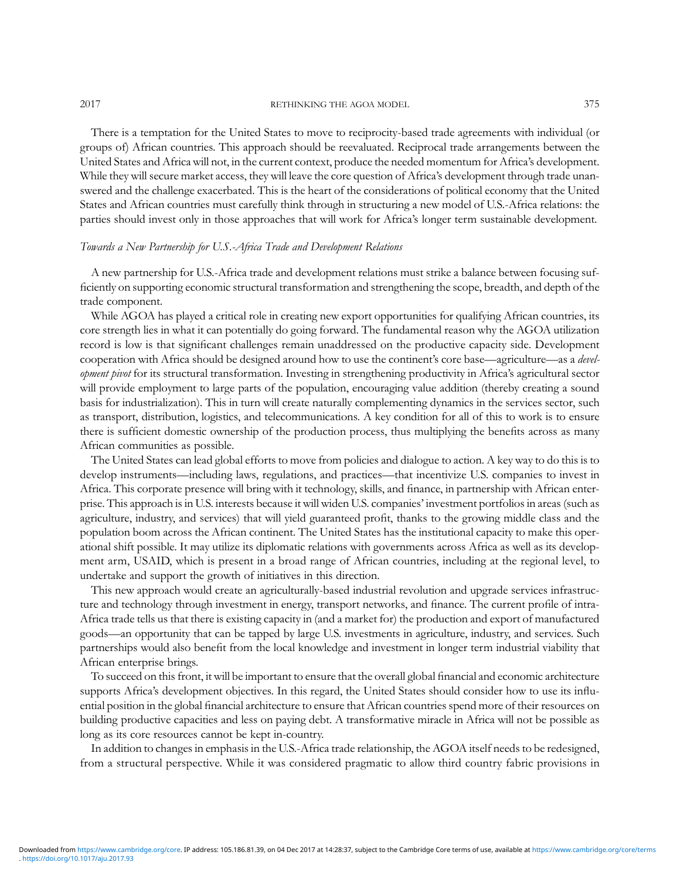2017 **RETHINKING THE AGOA MODEL** 375

There is a temptation for the United States to move to reciprocity-based trade agreements with individual (or groups of) African countries. This approach should be reevaluated. Reciprocal trade arrangements between the United States and Africa will not, in the current context, produce the needed momentum for Africa's development. While they will secure market access, they will leave the core question of Africa's development through trade unanswered and the challenge exacerbated. This is the heart of the considerations of political economy that the United States and African countries must carefully think through in structuring a new model of U.S.-Africa relations: the parties should invest only in those approaches that will work for Africa's longer term sustainable development.

## Towards a New Partnership for U.S.-Africa Trade and Development Relations

A new partnership for U.S.-Africa trade and development relations must strike a balance between focusing sufficiently on supporting economic structural transformation and strengthening the scope, breadth, and depth of the trade component.

While AGOA has played a critical role in creating new export opportunities for qualifying African countries, its core strength lies in what it can potentially do going forward. The fundamental reason why the AGOA utilization record is low is that significant challenges remain unaddressed on the productive capacity side. Development cooperation with Africa should be designed around how to use the continent's core base—agriculture—as a development pivot for its structural transformation. Investing in strengthening productivity in Africa's agricultural sector will provide employment to large parts of the population, encouraging value addition (thereby creating a sound basis for industrialization). This in turn will create naturally complementing dynamics in the services sector, such as transport, distribution, logistics, and telecommunications. A key condition for all of this to work is to ensure there is sufficient domestic ownership of the production process, thus multiplying the benefits across as many African communities as possible.

The United States can lead global efforts to move from policies and dialogue to action. A key way to do this is to develop instruments—including laws, regulations, and practices—that incentivize U.S. companies to invest in Africa. This corporate presence will bring with it technology, skills, and finance, in partnership with African enterprise. This approach is in U.S. interests because it will widen U.S. companies' investment portfolios in areas (such as agriculture, industry, and services) that will yield guaranteed profit, thanks to the growing middle class and the population boom across the African continent. The United States has the institutional capacity to make this operational shift possible. It may utilize its diplomatic relations with governments across Africa as well as its development arm, USAID, which is present in a broad range of African countries, including at the regional level, to undertake and support the growth of initiatives in this direction.

This new approach would create an agriculturally-based industrial revolution and upgrade services infrastructure and technology through investment in energy, transport networks, and finance. The current profile of intra-Africa trade tells us that there is existing capacity in (and a market for) the production and export of manufactured goods—an opportunity that can be tapped by large U.S. investments in agriculture, industry, and services. Such partnerships would also benefit from the local knowledge and investment in longer term industrial viability that African enterprise brings.

To succeed on this front, it will be important to ensure that the overall global financial and economic architecture supports Africa's development objectives. In this regard, the United States should consider how to use its influential position in the global financial architecture to ensure that African countries spend more of their resources on building productive capacities and less on paying debt. A transformative miracle in Africa will not be possible as long as its core resources cannot be kept in-country.

In addition to changes in emphasis in the U.S.-Africa trade relationship, the AGOA itself needs to be redesigned, from a structural perspective. While it was considered pragmatic to allow third country fabric provisions in